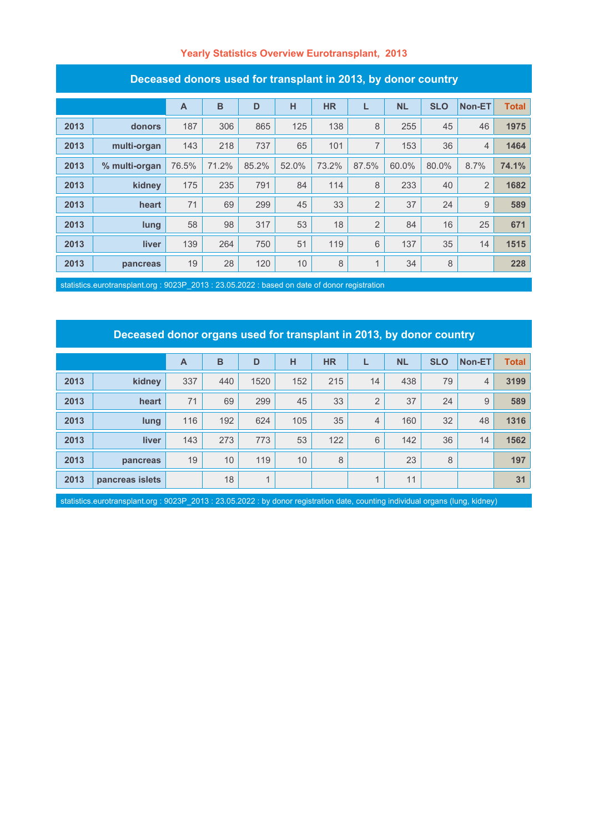#### **Yearly Statistics Overview Eurotransplant, 2013**

| Deceased donors used for transplant in Z010, by donor country |               |              |       |       |       |           |                |           |            |                |              |
|---------------------------------------------------------------|---------------|--------------|-------|-------|-------|-----------|----------------|-----------|------------|----------------|--------------|
|                                                               |               | $\mathsf{A}$ | B     | D     | H     | <b>HR</b> | L              | <b>NL</b> | <b>SLO</b> | Non-ET         | <b>Total</b> |
| 2013                                                          | donors        | 187          | 306   | 865   | 125   | 138       | 8              | 255       | 45         | 46             | 1975         |
| 2013                                                          | multi-organ   | 143          | 218   | 737   | 65    | 101       | 7              | 153       | 36         | $\overline{4}$ | 1464         |
| 2013                                                          | % multi-organ | 76.5%        | 71.2% | 85.2% | 52.0% | 73.2%     | 87.5%          | 60.0%     | 80.0%      | 8.7%           | 74.1%        |
| 2013                                                          | kidney        | 175          | 235   | 791   | 84    | 114       | 8              | 233       | 40         | $\overline{2}$ | 1682         |
| 2013                                                          | heart         | 71           | 69    | 299   | 45    | 33        | $\overline{2}$ | 37        | 24         | 9              | 589          |
| 2013                                                          | lung          | 58           | 98    | 317   | 53    | 18        | $\overline{2}$ | 84        | 16         | 25             | 671          |
| 2013                                                          | liver         | 139          | 264   | 750   | 51    | 119       | 6              | 137       | 35         | 14             | 1515         |
| 2013                                                          | pancreas      | 19           | 28    | 120   | 10    | 8         | 1              | 34        | 8          |                | 228          |

#### **Deceased donors used for transplant in 2013, by donor country**

statistics.eurotransplant.org : 9023P\_2013 : 23.05.2022 : based on date of donor registration

# **Deceased donor organs used for transplant in 2013, by donor country**

|      |                 | $\overline{A}$ | B   | D              | н   | <b>HR</b> |                | <b>NL</b> | <b>SLO</b> | Non-ET         | <b>Total</b> |
|------|-----------------|----------------|-----|----------------|-----|-----------|----------------|-----------|------------|----------------|--------------|
| 2013 | kidney          | 337            | 440 | 1520           | 152 | 215       | 14             | 438       | 79         | $\overline{4}$ | 3199         |
| 2013 | heart           | 71             | 69  | 299            | 45  | 33        | $\overline{2}$ | 37        | 24         | 9              | 589          |
| 2013 | lung            | 116            | 192 | 624            | 105 | 35        | $\overline{4}$ | 160       | 32         | 48             | 1316         |
| 2013 | <b>liver</b>    | 143            | 273 | 773            | 53  | 122       | 6              | 142       | 36         | 14             | 1562         |
| 2013 | pancreas        | 19             | 10  | 119            | 10  | 8         |                | 23        | 8          |                | 197          |
| 2013 | pancreas islets |                | 18  | $\overline{A}$ |     |           | $\overline{A}$ | 11        |            |                | 31           |

statistics.eurotransplant.org : 9023P\_2013 : 23.05.2022 : by donor registration date, counting individual organs (lung, kidney)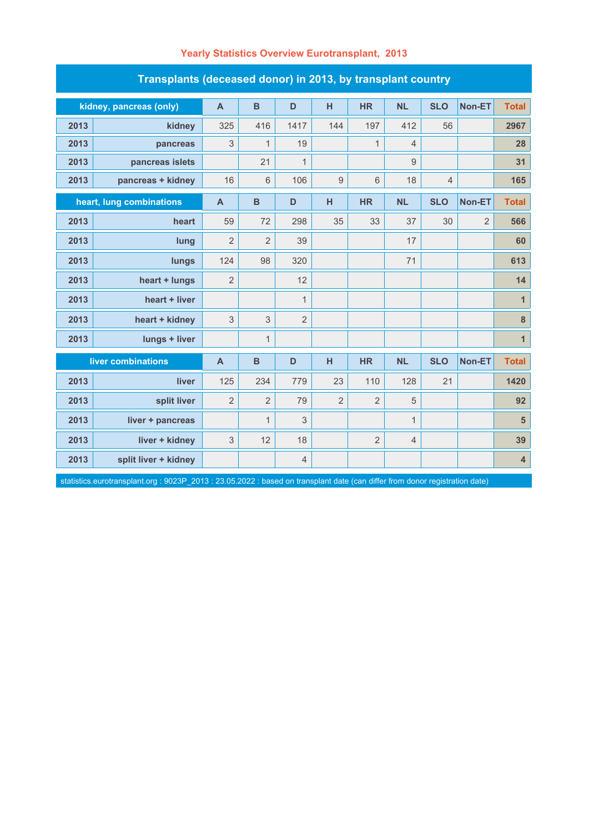| Transplants (deceased donor) in 2013, by transplant country |                         |                |                |              |                |                |                |                |                |                         |  |
|-------------------------------------------------------------|-------------------------|----------------|----------------|--------------|----------------|----------------|----------------|----------------|----------------|-------------------------|--|
|                                                             | kidney, pancreas (only) | $\mathsf{A}$   | $\overline{B}$ | D            | H              | <b>HR</b>      | <b>NL</b>      | <b>SLO</b>     | Non-ET         | <b>Total</b>            |  |
| 2013                                                        | kidney                  | 325            | 416            | 1417         | 144            | 197            | 412            | 56             |                | 2967                    |  |
| 2013                                                        | pancreas                | 3              | $\mathbf{1}$   | 19           |                | $\mathbf{1}$   | $\overline{4}$ |                |                | 28                      |  |
| 2013                                                        | pancreas islets         |                | 21             | $\mathbf{1}$ |                |                | $9\,$          |                |                | 31                      |  |
| 2013                                                        | pancreas + kidney       | 16             | $6\,$          | 106          | 9              | 6              | 18             | $\overline{4}$ |                | 165                     |  |
| heart, lung combinations                                    |                         | $\mathsf{A}$   | $\mathbf B$    | D            | н              | <b>HR</b>      | <b>NL</b>      | <b>SLO</b>     | Non-ET         | <b>Total</b>            |  |
| 2013                                                        | heart                   | 59             | 72             | 298          | 35             | 33             | 37             | 30             | $\overline{2}$ | 566                     |  |
| 2013                                                        | lung                    | $\overline{2}$ | $\overline{2}$ | 39           |                |                | 17             |                |                | 60                      |  |
| 2013                                                        | lungs                   | 124            | 98             | 320          |                |                | 71             |                |                | 613                     |  |
| 2013                                                        | heart + lungs           | $\overline{2}$ |                | 12           |                |                |                |                |                | 14                      |  |
| 2013                                                        | heart + liver           |                |                | $\mathbf{1}$ |                |                |                |                |                | $\mathbf{1}$            |  |
| 2013                                                        | heart + kidney          | 3              | 3              | 2            |                |                |                |                |                | $\bf 8$                 |  |
| 2013                                                        | lungs + liver           |                | $\mathbf{1}$   |              |                |                |                |                |                | $\overline{1}$          |  |
|                                                             | liver combinations      | $\overline{A}$ | $\mathbf B$    | D            | H              | <b>HR</b>      | <b>NL</b>      | <b>SLO</b>     | <b>Non-ET</b>  | <b>Total</b>            |  |
| 2013                                                        | liver                   | 125            | 234            | 779          | 23             | 110            | 128            | 21             |                | 1420                    |  |
| 2013                                                        | split liver             | $\overline{2}$ | $\overline{2}$ | 79           | $\overline{2}$ | $\overline{2}$ | $\sqrt{5}$     |                |                | 92                      |  |
| 2013                                                        | liver + pancreas        |                | $\mathbf{1}$   | 3            |                |                | $\mathbf{1}$   |                |                | $5\phantom{.0}$         |  |
| 2013                                                        | liver + kidney          | 3              | 12             | 18           |                | $\overline{2}$ | $\overline{4}$ |                |                | 39                      |  |
| 2013                                                        | split liver + kidney    |                |                | 4            |                |                |                |                |                | $\overline{\mathbf{4}}$ |  |

### **Yearly Statistics Overview Eurotransplant, 2013**

statistics.eurotransplant.org : 9023P\_2013 : 23.05.2022 : based on transplant date (can differ from donor registration date)